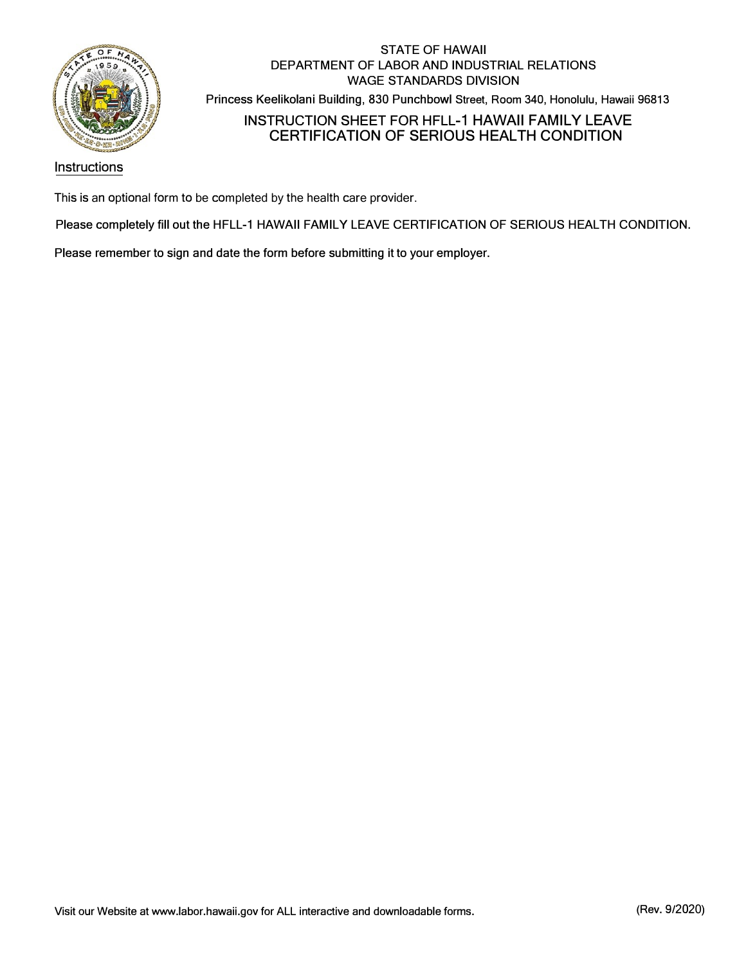

# STATE OF HAWAII DEPARTMENT OF LABOR AND INDUSTRIAL RELATIONS WAGE STANDARDS DIVISION Princess Keelikolani Building, 830 Punchbowl Street, Room 340, Honolulu, Hawaii 96813 INSTRUCTION SHEET FOR HFLL-1 HAWAII FAMILY LEAVE CERTIFICATION OF SERIOUS HEALTH CONDITION

### Instructions

This is an optional form to be completed by the health care provider.

Please completely **fill** out the HFLL-1 HAWAII FAMILY LEAVE CERTIFICATION OF SERIOUS HEALTH CONDITION.

Please remember to sign and date the form before submitting it to your employer.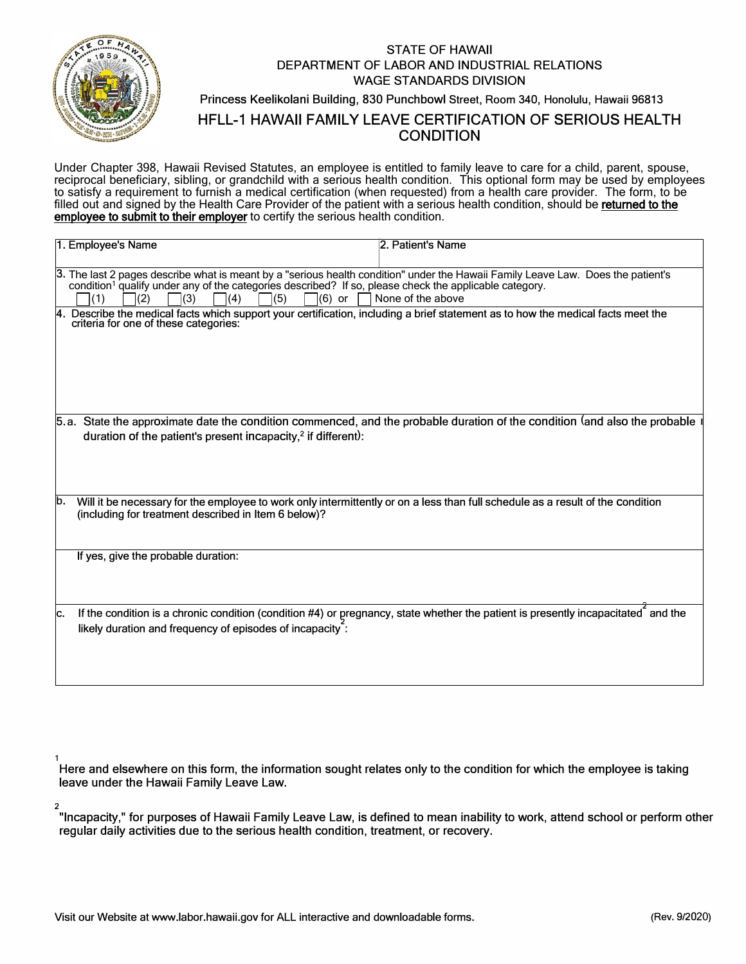

**2** 

# STATE OF HAWAII DEPARTMENT OF LABOR AND INDUSTRIAL RELATIONS WAGE STANDARDS DIVISION Princess Keelikolani Building, 830 Punchbowl Street, Room 340, Honolulu, Hawaii 96813 HFLL-1 HAWAII FAMILY LEAVE CERTIFICATION OF SERIOUS HEALTH CONDITION

Under Chapter 398, Hawaii Revised Statutes, an employee is entitled to family leave to care for a child, parent, spouse, reciprocal beneficiary, sibling, or grandchild with a serious health condition. This optional form may be used by employees to satisfy a requirement to furnish a medical certification (when requested) from a health care provider. The form, to be filled out and signed by the Health Care Provider of the patient with a serious health condition, should be returned to the employee to submit to their employer to certify the serious health condition.

| 1. Employee's Name                                                                                                                                                                                                                                                                                    | 2. Patient's Name                                                                                                                 |  |
|-------------------------------------------------------------------------------------------------------------------------------------------------------------------------------------------------------------------------------------------------------------------------------------------------------|-----------------------------------------------------------------------------------------------------------------------------------|--|
| 3. The last 2 pages describe what is meant by a "serious health condition" under the Hawaii Family Leave Law. Does the patient's<br>condition <sup>1</sup> qualify under any of the categories described? If so, please check the applicable category.<br>(3)<br>(5)<br>$(6)$ or<br>(1)<br>(2)<br>(4) | None of the above                                                                                                                 |  |
| Describe the medical facts which support your certification, including a brief statement as to how the medical facts meet the<br>criteria for one of these categories:                                                                                                                                |                                                                                                                                   |  |
| 5.a. State the approximate date the condition commenced, and the probable duration of the condition (and also the probable<br>duration of the patient's present incapacity, <sup>2</sup> if different):                                                                                               |                                                                                                                                   |  |
| Will it be necessary for the employee to work only intermittently or on a less than full schedule as a result of the condition<br>b.<br>(including for treatment described in Item 6 below)?                                                                                                          |                                                                                                                                   |  |
| If yes, give the probable duration:                                                                                                                                                                                                                                                                   |                                                                                                                                   |  |
| lc.<br>likely duration and frequency of episodes of incapacity:                                                                                                                                                                                                                                       | If the condition is a chronic condition (condition #4) or pregnancy, state whether the patient is presently incapacitated and the |  |

**1**  Here and elsewhere on this form, the information sought relates only to the condition for which the employee is taking leave under the Hawaii Family Leave Law.

"Incapacity," for purposes of Hawaii Family Leave Law, is defined to mean inability to work, attend school or perform other regular daily activities due to the serious health condition, treatment, or recovery.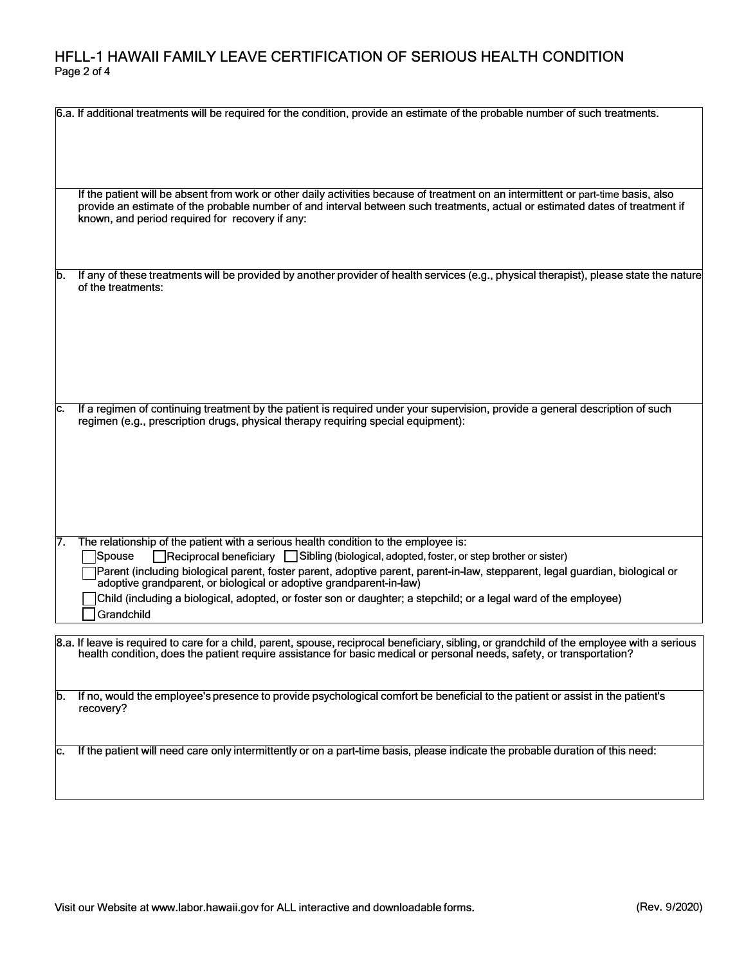# **HFLL-1 HAWAII FAMILY LEAVE CERTIFICATION OF SERIOUS HEALTH CONDITION**  Page 2 of 4

|    | 6.a. If additional treatments will be required for the condition, provide an estimate of the probable number of such treatments.                                                                                                                                                                                                                                                                                                                                                                                                   |
|----|------------------------------------------------------------------------------------------------------------------------------------------------------------------------------------------------------------------------------------------------------------------------------------------------------------------------------------------------------------------------------------------------------------------------------------------------------------------------------------------------------------------------------------|
|    | If the patient will be absent from work or other daily activities because of treatment on an intermittent or part-time basis, also<br>provide an estimate of the probable number of and interval between such treatments, actual or estimated dates of treatment if<br>known, and period required for recovery if any:                                                                                                                                                                                                             |
| b. | If any of these treatments will be provided by another provider of health services (e.g., physical therapist), please state the nature<br>of the treatments:                                                                                                                                                                                                                                                                                                                                                                       |
| c. | If a regimen of continuing treatment by the patient is required under your supervision, provide a general description of such<br>regimen (e.g., prescription drugs, physical therapy requiring special equipment):                                                                                                                                                                                                                                                                                                                 |
| 7. | The relationship of the patient with a serious health condition to the employee is:<br>Reciprocal beneficiary Sibling (biological, adopted, foster, or step brother or sister)<br>Spouse<br>Parent (including biological parent, foster parent, adoptive parent, parent-in-law, stepparent, legal guardian, biological or<br>adoptive grandparent, or biological or adoptive grandparent-in-law)<br>Child (including a biological, adopted, or foster son or daughter; a stepchild; or a legal ward of the employee)<br>Grandchild |
|    | 8.a. If leave is required to care for a child, parent, spouse, reciprocal beneficiary, sibling, or grandchild of the employee with a serious<br>health condition, does the patient require assistance for basic medical or personal needs, safety, or transportation?                                                                                                                                                                                                                                                              |
| b. | If no, would the employee's presence to provide psychological comfort be beneficial to the patient or assist in the patient's<br>recovery?                                                                                                                                                                                                                                                                                                                                                                                         |
| c. | If the patient will need care only intermittently or on a part-time basis, please indicate the probable duration of this need:                                                                                                                                                                                                                                                                                                                                                                                                     |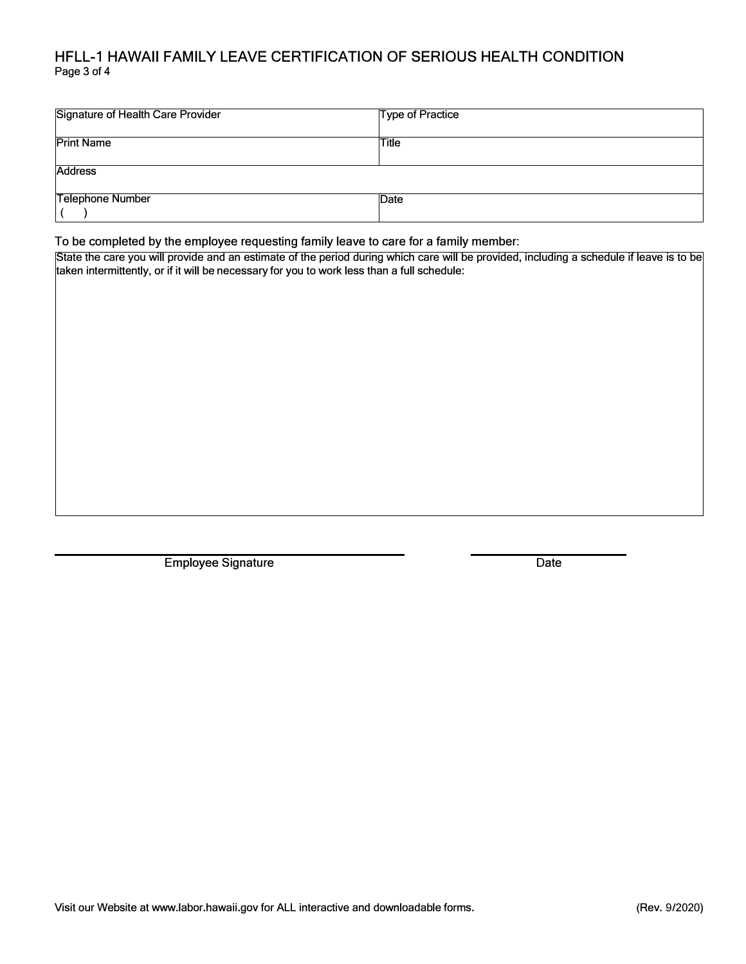## HFLL-1 HAWAII FAMILY LEAVE CERTIFICATION OF SERIOUS HEALTH CONDITION Page 3 of 4

| <b>Signature of Health Care Provider</b> | Type of Practice |  |
|------------------------------------------|------------------|--|
| <b>Print Name</b>                        | Title            |  |
| <b>Address</b>                           |                  |  |
| <b>Telephone Number</b>                  | Date             |  |

To be completed by the employee requesting family leave to care for a family member:

State the care you will provide and an estimate of the period during which care will be provided, including a schedule if leave is to be taken intermittently, or if it will be necessary for you to work less than a full schedule:

Employee Signature Date